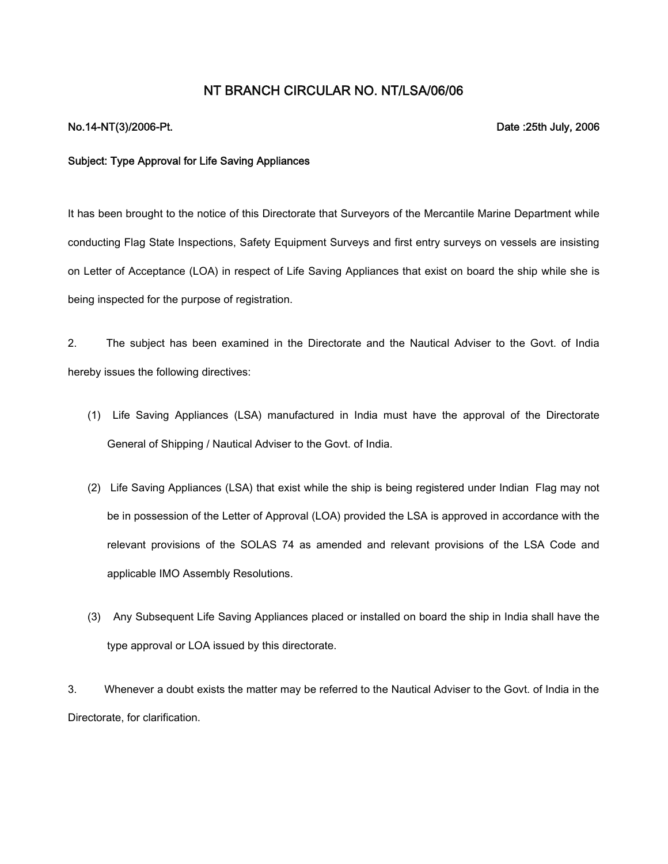## **NT BRANCH CIRCULAR NO. NT/LSA/06/06**

## **No.14-NT(3)/2006-Pt. Date :25th July, 2006**

## **Subject: Type Approval for Life Saving Appliances**

It has been brought to the notice of this Directorate that Surveyors of the Mercantile Marine Department while conducting Flag State Inspections, Safety Equipment Surveys and first entry surveys on vessels are insisting on Letter of Acceptance (LOA) in respect of Life Saving Appliances that exist on board the ship while she is being inspected for the purpose of registration.

2. The subject has been examined in the Directorate and the Nautical Adviser to the Govt. of India hereby issues the following directives:

- (1) Life Saving Appliances (LSA) manufactured in India must have the approval of the Directorate General of Shipping / Nautical Adviser to the Govt. of India.
- (2) Life Saving Appliances (LSA) that exist while the ship is being registered under Indian Flag may not be in possession of the Letter of Approval (LOA) provided the LSA is approved in accordance with the relevant provisions of the SOLAS 74 as amended and relevant provisions of the LSA Code and applicable IMO Assembly Resolutions.
- (3) Any Subsequent Life Saving Appliances placed or installed on board the ship in India shall have the type approval or LOA issued by this directorate.

3. Whenever a doubt exists the matter may be referred to the Nautical Adviser to the Govt. of India in the Directorate, for clarification.